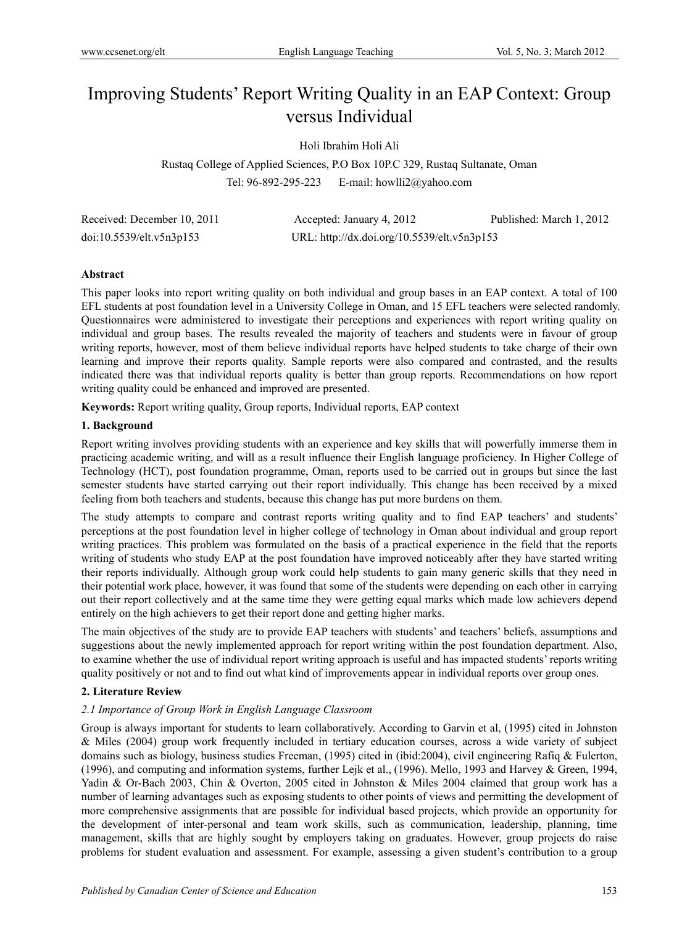# Improving Students' Report Writing Quality in an EAP Context: Group versus Individual

Holi Ibrahim Holi Ali

Rustaq College of Applied Sciences, P.O Box 10P.C 329, Rustaq Sultanate, Oman Tel: 96-892-295-223 E-mail: howlli2@yahoo.com

| Received: December 10, 2011 | Accepted: January 4, 2012                   | Published: March 1, 2012 |
|-----------------------------|---------------------------------------------|--------------------------|
| doi:10.5539/elt.v5n3p153    | URL: http://dx.doi.org/10.5539/elt.v5n3p153 |                          |

# **Abstract**

This paper looks into report writing quality on both individual and group bases in an EAP context. A total of 100 EFL students at post foundation level in a University College in Oman, and 15 EFL teachers were selected randomly. Questionnaires were administered to investigate their perceptions and experiences with report writing quality on individual and group bases. The results revealed the majority of teachers and students were in favour of group writing reports, however, most of them believe individual reports have helped students to take charge of their own learning and improve their reports quality. Sample reports were also compared and contrasted, and the results indicated there was that individual reports quality is better than group reports. Recommendations on how report writing quality could be enhanced and improved are presented.

**Keywords:** Report writing quality, Group reports, Individual reports, EAP context

#### **1. Background**

Report writing involves providing students with an experience and key skills that will powerfully immerse them in practicing academic writing, and will as a result influence their English language proficiency. In Higher College of Technology (HCT), post foundation programme, Oman, reports used to be carried out in groups but since the last semester students have started carrying out their report individually. This change has been received by a mixed feeling from both teachers and students, because this change has put more burdens on them.

The study attempts to compare and contrast reports writing quality and to find EAP teachers' and students' perceptions at the post foundation level in higher college of technology in Oman about individual and group report writing practices. This problem was formulated on the basis of a practical experience in the field that the reports writing of students who study EAP at the post foundation have improved noticeably after they have started writing their reports individually. Although group work could help students to gain many generic skills that they need in their potential work place, however, it was found that some of the students were depending on each other in carrying out their report collectively and at the same time they were getting equal marks which made low achievers depend entirely on the high achievers to get their report done and getting higher marks.

The main objectives of the study are to provide EAP teachers with students' and teachers' beliefs, assumptions and suggestions about the newly implemented approach for report writing within the post foundation department. Also, to examine whether the use of individual report writing approach is useful and has impacted students' reports writing quality positively or not and to find out what kind of improvements appear in individual reports over group ones.

# **2. Literature Review**

# *2.1 Importance of Group Work in English Language Classroom*

Group is always important for students to learn collaboratively. According to Garvin et al, (1995) cited in Johnston & Miles (2004) group work frequently included in tertiary education courses, across a wide variety of subject domains such as biology, business studies Freeman, (1995) cited in (ibid:2004), civil engineering Rafiq & Fulerton, (1996), and computing and information systems, further Lejk et al., (1996). Mello, 1993 and Harvey & Green, 1994, Yadin & Or-Bach 2003, Chin & Overton, 2005 cited in Johnston & Miles 2004 claimed that group work has a number of learning advantages such as exposing students to other points of views and permitting the development of more comprehensive assignments that are possible for individual based projects, which provide an opportunity for the development of inter-personal and team work skills, such as communication, leadership, planning, time management, skills that are highly sought by employers taking on graduates. However, group projects do raise problems for student evaluation and assessment. For example, assessing a given student's contribution to a group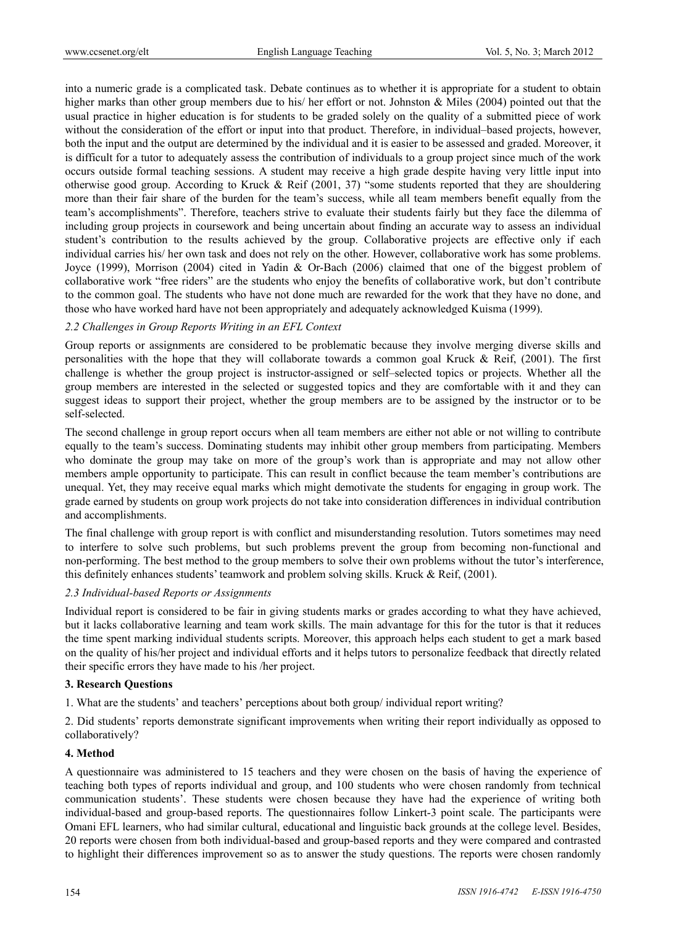into a numeric grade is a complicated task. Debate continues as to whether it is appropriate for a student to obtain higher marks than other group members due to his/ her effort or not. Johnston & Miles (2004) pointed out that the usual practice in higher education is for students to be graded solely on the quality of a submitted piece of work without the consideration of the effort or input into that product. Therefore, in individual–based projects, however, both the input and the output are determined by the individual and it is easier to be assessed and graded. Moreover, it is difficult for a tutor to adequately assess the contribution of individuals to a group project since much of the work occurs outside formal teaching sessions. A student may receive a high grade despite having very little input into otherwise good group. According to Kruck & Reif (2001, 37) "some students reported that they are shouldering more than their fair share of the burden for the team's success, while all team members benefit equally from the team's accomplishments". Therefore, teachers strive to evaluate their students fairly but they face the dilemma of including group projects in coursework and being uncertain about finding an accurate way to assess an individual student's contribution to the results achieved by the group. Collaborative projects are effective only if each individual carries his/ her own task and does not rely on the other. However, collaborative work has some problems. Joyce (1999), Morrison (2004) cited in Yadin & Or-Bach (2006) claimed that one of the biggest problem of collaborative work "free riders" are the students who enjoy the benefits of collaborative work, but don't contribute to the common goal. The students who have not done much are rewarded for the work that they have no done, and those who have worked hard have not been appropriately and adequately acknowledged Kuisma (1999).

#### *2.2 Challenges in Group Reports Writing in an EFL Context*

Group reports or assignments are considered to be problematic because they involve merging diverse skills and personalities with the hope that they will collaborate towards a common goal Kruck & Reif, (2001). The first challenge is whether the group project is instructor-assigned or self–selected topics or projects. Whether all the group members are interested in the selected or suggested topics and they are comfortable with it and they can suggest ideas to support their project, whether the group members are to be assigned by the instructor or to be self-selected.

The second challenge in group report occurs when all team members are either not able or not willing to contribute equally to the team's success. Dominating students may inhibit other group members from participating. Members who dominate the group may take on more of the group's work than is appropriate and may not allow other members ample opportunity to participate. This can result in conflict because the team member's contributions are unequal. Yet, they may receive equal marks which might demotivate the students for engaging in group work. The grade earned by students on group work projects do not take into consideration differences in individual contribution and accomplishments.

The final challenge with group report is with conflict and misunderstanding resolution. Tutors sometimes may need to interfere to solve such problems, but such problems prevent the group from becoming non-functional and non-performing. The best method to the group members to solve their own problems without the tutor's interference, this definitely enhances students' teamwork and problem solving skills. Kruck & Reif, (2001).

#### *2.3 Individual-based Reports or Assignments*

Individual report is considered to be fair in giving students marks or grades according to what they have achieved, but it lacks collaborative learning and team work skills. The main advantage for this for the tutor is that it reduces the time spent marking individual students scripts. Moreover, this approach helps each student to get a mark based on the quality of his/her project and individual efforts and it helps tutors to personalize feedback that directly related their specific errors they have made to his /her project.

#### **3. Research Questions**

1. What are the students' and teachers' perceptions about both group/ individual report writing?

2. Did students' reports demonstrate significant improvements when writing their report individually as opposed to collaboratively?

#### **4. Method**

A questionnaire was administered to 15 teachers and they were chosen on the basis of having the experience of teaching both types of reports individual and group, and 100 students who were chosen randomly from technical communication students'. These students were chosen because they have had the experience of writing both individual-based and group-based reports. The questionnaires follow Linkert-3 point scale. The participants were Omani EFL learners, who had similar cultural, educational and linguistic back grounds at the college level. Besides, 20 reports were chosen from both individual-based and group-based reports and they were compared and contrasted to highlight their differences improvement so as to answer the study questions. The reports were chosen randomly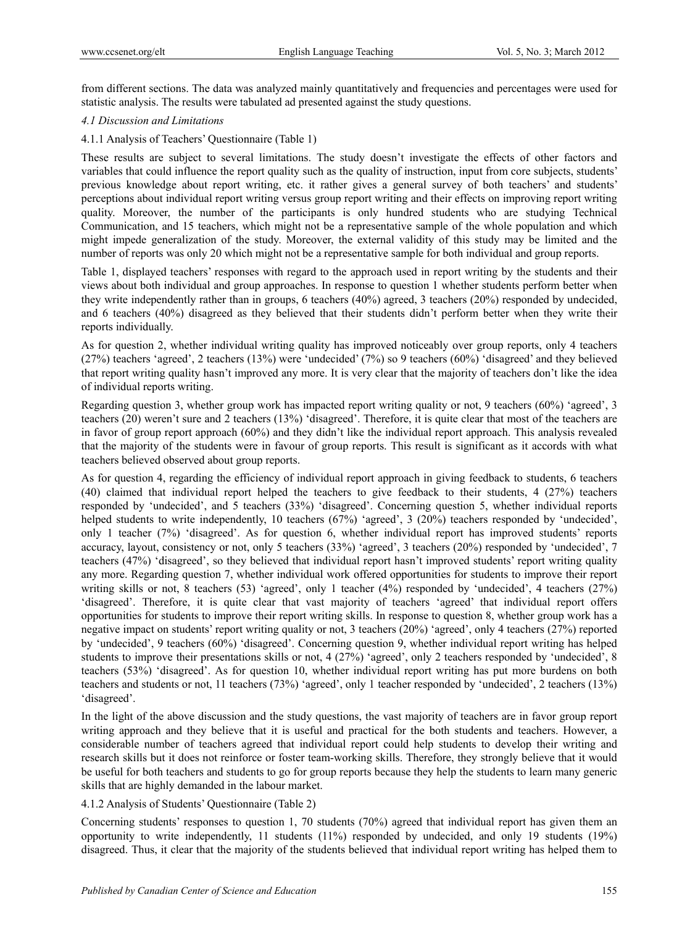from different sections. The data was analyzed mainly quantitatively and frequencies and percentages were used for statistic analysis. The results were tabulated ad presented against the study questions.

#### *4.1 Discussion and Limitations*

#### 4.1.1 Analysis of Teachers' Questionnaire (Table 1)

These results are subject to several limitations. The study doesn't investigate the effects of other factors and variables that could influence the report quality such as the quality of instruction, input from core subjects, students' previous knowledge about report writing, etc. it rather gives a general survey of both teachers' and students' perceptions about individual report writing versus group report writing and their effects on improving report writing quality. Moreover, the number of the participants is only hundred students who are studying Technical Communication, and 15 teachers, which might not be a representative sample of the whole population and which might impede generalization of the study. Moreover, the external validity of this study may be limited and the number of reports was only 20 which might not be a representative sample for both individual and group reports.

Table 1, displayed teachers' responses with regard to the approach used in report writing by the students and their views about both individual and group approaches. In response to question 1 whether students perform better when they write independently rather than in groups, 6 teachers (40%) agreed, 3 teachers (20%) responded by undecided, and 6 teachers (40%) disagreed as they believed that their students didn't perform better when they write their reports individually.

As for question 2, whether individual writing quality has improved noticeably over group reports, only 4 teachers (27%) teachers 'agreed', 2 teachers (13%) were 'undecided' (7%) so 9 teachers (60%) 'disagreed' and they believed that report writing quality hasn't improved any more. It is very clear that the majority of teachers don't like the idea of individual reports writing.

Regarding question 3, whether group work has impacted report writing quality or not, 9 teachers (60%) 'agreed', 3 teachers (20) weren't sure and 2 teachers (13%) 'disagreed'. Therefore, it is quite clear that most of the teachers are in favor of group report approach (60%) and they didn't like the individual report approach. This analysis revealed that the majority of the students were in favour of group reports. This result is significant as it accords with what teachers believed observed about group reports.

As for question 4, regarding the efficiency of individual report approach in giving feedback to students, 6 teachers (40) claimed that individual report helped the teachers to give feedback to their students, 4 (27%) teachers responded by 'undecided', and 5 teachers (33%) 'disagreed'. Concerning question 5, whether individual reports helped students to write independently, 10 teachers (67%) 'agreed', 3 (20%) teachers responded by 'undecided', only 1 teacher (7%) 'disagreed'. As for question 6, whether individual report has improved students' reports accuracy, layout, consistency or not, only 5 teachers (33%) 'agreed', 3 teachers (20%) responded by 'undecided', 7 teachers (47%) 'disagreed', so they believed that individual report hasn't improved students' report writing quality any more. Regarding question 7, whether individual work offered opportunities for students to improve their report writing skills or not, 8 teachers (53) 'agreed', only 1 teacher (4%) responded by 'undecided', 4 teachers (27%) 'disagreed'. Therefore, it is quite clear that vast majority of teachers 'agreed' that individual report offers opportunities for students to improve their report writing skills. In response to question 8, whether group work has a negative impact on students' report writing quality or not, 3 teachers (20%) 'agreed', only 4 teachers (27%) reported by 'undecided', 9 teachers (60%) 'disagreed'. Concerning question 9, whether individual report writing has helped students to improve their presentations skills or not, 4 (27%) 'agreed', only 2 teachers responded by 'undecided', 8 teachers (53%) 'disagreed'. As for question 10, whether individual report writing has put more burdens on both teachers and students or not, 11 teachers (73%) 'agreed', only 1 teacher responded by 'undecided', 2 teachers (13%) 'disagreed'.

In the light of the above discussion and the study questions, the vast majority of teachers are in favor group report writing approach and they believe that it is useful and practical for the both students and teachers. However, a considerable number of teachers agreed that individual report could help students to develop their writing and research skills but it does not reinforce or foster team-working skills. Therefore, they strongly believe that it would be useful for both teachers and students to go for group reports because they help the students to learn many generic skills that are highly demanded in the labour market.

# 4.1.2 Analysis of Students' Questionnaire (Table 2)

Concerning students' responses to question 1, 70 students (70%) agreed that individual report has given them an opportunity to write independently, 11 students (11%) responded by undecided, and only 19 students (19%) disagreed. Thus, it clear that the majority of the students believed that individual report writing has helped them to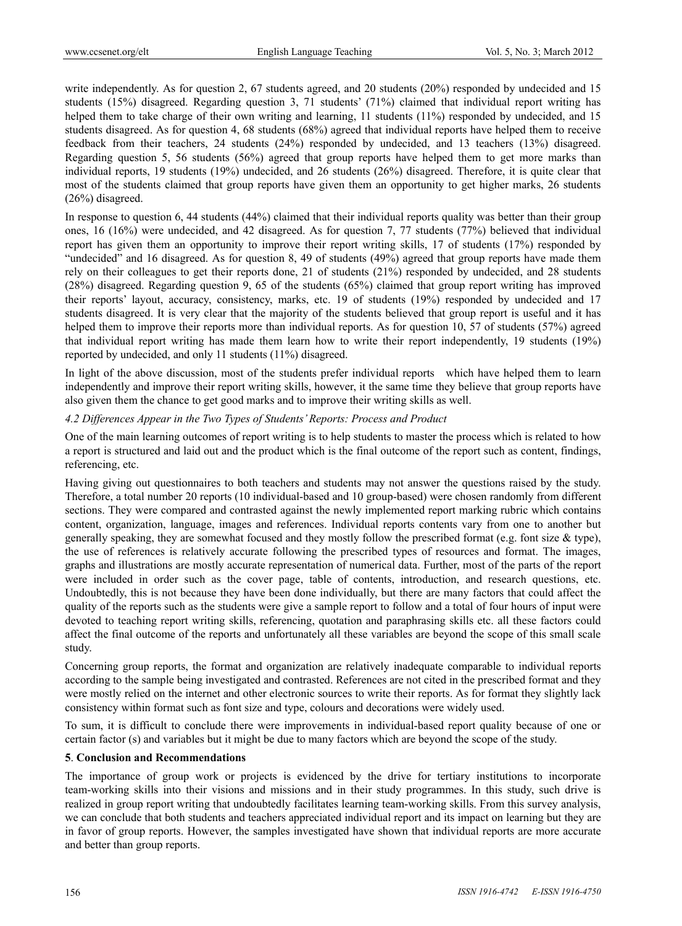write independently. As for question 2, 67 students agreed, and 20 students (20%) responded by undecided and 15 students (15%) disagreed. Regarding question 3, 71 students' (71%) claimed that individual report writing has helped them to take charge of their own writing and learning, 11 students (11%) responded by undecided, and 15 students disagreed. As for question 4, 68 students (68%) agreed that individual reports have helped them to receive feedback from their teachers, 24 students (24%) responded by undecided, and 13 teachers (13%) disagreed. Regarding question 5, 56 students (56%) agreed that group reports have helped them to get more marks than individual reports, 19 students (19%) undecided, and 26 students (26%) disagreed. Therefore, it is quite clear that most of the students claimed that group reports have given them an opportunity to get higher marks, 26 students (26%) disagreed.

In response to question 6, 44 students (44%) claimed that their individual reports quality was better than their group ones, 16 (16%) were undecided, and 42 disagreed. As for question 7, 77 students (77%) believed that individual report has given them an opportunity to improve their report writing skills, 17 of students (17%) responded by "undecided" and 16 disagreed. As for question 8, 49 of students (49%) agreed that group reports have made them rely on their colleagues to get their reports done, 21 of students (21%) responded by undecided, and 28 students (28%) disagreed. Regarding question 9, 65 of the students (65%) claimed that group report writing has improved their reports' layout, accuracy, consistency, marks, etc. 19 of students (19%) responded by undecided and 17 students disagreed. It is very clear that the majority of the students believed that group report is useful and it has helped them to improve their reports more than individual reports. As for question 10, 57 of students (57%) agreed that individual report writing has made them learn how to write their report independently, 19 students (19%) reported by undecided, and only 11 students (11%) disagreed.

In light of the above discussion, most of the students prefer individual reports which have helped them to learn independently and improve their report writing skills, however, it the same time they believe that group reports have also given them the chance to get good marks and to improve their writing skills as well.

# *4.2 Differences Appear in the Two Types of Students' Reports: Process and Product*

One of the main learning outcomes of report writing is to help students to master the process which is related to how a report is structured and laid out and the product which is the final outcome of the report such as content, findings, referencing, etc.

Having giving out questionnaires to both teachers and students may not answer the questions raised by the study. Therefore, a total number 20 reports (10 individual-based and 10 group-based) were chosen randomly from different sections. They were compared and contrasted against the newly implemented report marking rubric which contains content, organization, language, images and references. Individual reports contents vary from one to another but generally speaking, they are somewhat focused and they mostly follow the prescribed format (e.g. font size & type), the use of references is relatively accurate following the prescribed types of resources and format. The images, graphs and illustrations are mostly accurate representation of numerical data. Further, most of the parts of the report were included in order such as the cover page, table of contents, introduction, and research questions, etc. Undoubtedly, this is not because they have been done individually, but there are many factors that could affect the quality of the reports such as the students were give a sample report to follow and a total of four hours of input were devoted to teaching report writing skills, referencing, quotation and paraphrasing skills etc. all these factors could affect the final outcome of the reports and unfortunately all these variables are beyond the scope of this small scale study.

Concerning group reports, the format and organization are relatively inadequate comparable to individual reports according to the sample being investigated and contrasted. References are not cited in the prescribed format and they were mostly relied on the internet and other electronic sources to write their reports. As for format they slightly lack consistency within format such as font size and type, colours and decorations were widely used.

To sum, it is difficult to conclude there were improvements in individual-based report quality because of one or certain factor (s) and variables but it might be due to many factors which are beyond the scope of the study.

#### **5**. **Conclusion and Recommendations**

The importance of group work or projects is evidenced by the drive for tertiary institutions to incorporate team-working skills into their visions and missions and in their study programmes. In this study, such drive is realized in group report writing that undoubtedly facilitates learning team-working skills. From this survey analysis, we can conclude that both students and teachers appreciated individual report and its impact on learning but they are in favor of group reports. However, the samples investigated have shown that individual reports are more accurate and better than group reports.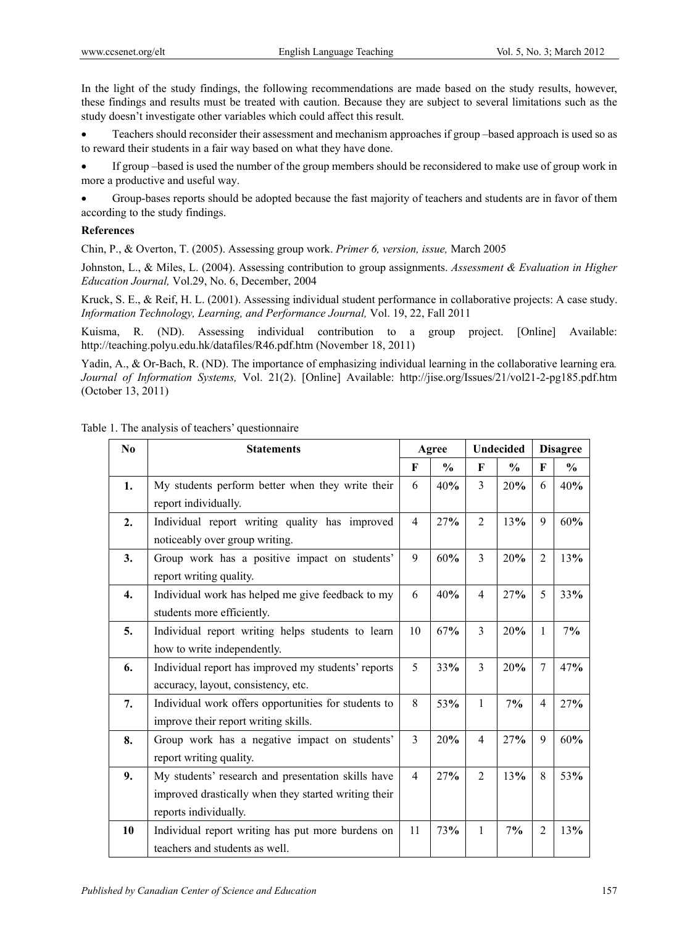In the light of the study findings, the following recommendations are made based on the study results, however, these findings and results must be treated with caution. Because they are subject to several limitations such as the study doesn't investigate other variables which could affect this result.

 Teachers should reconsider their assessment and mechanism approaches if group –based approach is used so as to reward their students in a fair way based on what they have done.

 If group –based is used the number of the group members should be reconsidered to make use of group work in more a productive and useful way.

 Group-bases reports should be adopted because the fast majority of teachers and students are in favor of them according to the study findings.

#### **References**

Chin, P., & Overton, T. (2005). Assessing group work. *Primer 6, version, issue,* March 2005

Johnston, L., & Miles, L. (2004). Assessing contribution to group assignments. *Assessment & Evaluation in Higher Education Journal,* Vol.29, No. 6, December, 2004

Kruck, S. E., & Reif, H. L. (2001). Assessing individual student performance in collaborative projects: A case study. *Information Technology, Learning, and Performance Journal,* Vol. 19, 22, Fall 2011

Kuisma, R. (ND). Assessing individual contribution to a group project. [Online] Available: http://teaching.polyu.edu.hk/datafiles/R46.pdf.htm (November 18, 2011)

Yadin, A., & Or-Bach, R. (ND). The importance of emphasizing individual learning in the collaborative learning era. *Journal of Information Systems,* Vol. 21(2). [Online] Available: http://jise.org/Issues/21/vol21-2-pg185.pdf.htm (October 13, 2011)

| N <sub>0</sub> | <b>Statements</b>                                    | Agree          |               | Undecided      |               | <b>Disagree</b> |               |
|----------------|------------------------------------------------------|----------------|---------------|----------------|---------------|-----------------|---------------|
|                |                                                      | F              | $\frac{0}{0}$ | $\mathbf{F}$   | $\frac{0}{0}$ | F               | $\frac{0}{0}$ |
| 1.             | My students perform better when they write their     | 6              | 40%           | 3              | 20%           | 6               | 40%           |
|                | report individually.                                 |                |               |                |               |                 |               |
| 2.             | Individual report writing quality has improved       | $\overline{4}$ | 27%           | $\overline{2}$ | 13%           | 9               | 60%           |
|                | noticeably over group writing.                       |                |               |                |               |                 |               |
| 3.             | Group work has a positive impact on students'        | 9              | 60%           | $\overline{3}$ | 20%           | $\overline{2}$  | 13%           |
|                | report writing quality.                              |                |               |                |               |                 |               |
| 4.             | Individual work has helped me give feedback to my    | 6              | 40%           | $\overline{4}$ | 27%           | 5               | 33%           |
|                | students more efficiently.                           |                |               |                |               |                 |               |
| 5.             | Individual report writing helps students to learn    | 10             | 67%           | 3              | 20%           | 1               | 7%            |
|                | how to write independently.                          |                |               |                |               |                 |               |
| 6.             | Individual report has improved my students' reports  | 5              | 33%           | $\overline{3}$ | 20%           | $\overline{7}$  | 47%           |
|                | accuracy, layout, consistency, etc.                  |                |               |                |               |                 |               |
| 7.             | Individual work offers opportunities for students to | 8              | 53%           | $\mathbf{1}$   | 7%            | $\overline{4}$  | 27%           |
|                | improve their report writing skills.                 |                |               |                |               |                 |               |
| 8.             | Group work has a negative impact on students'        | $\overline{3}$ | 20%           | $\overline{4}$ | 27%           | 9               | 60%           |
|                | report writing quality.                              |                |               |                |               |                 |               |
| 9.             | My students' research and presentation skills have   | $\overline{4}$ | 27%           | $\overline{2}$ | 13%           | 8               | 53%           |
|                | improved drastically when they started writing their |                |               |                |               |                 |               |
|                | reports individually.                                |                |               |                |               |                 |               |
| 10             | Individual report writing has put more burdens on    | 11             | 73%           | $\mathbf{1}$   | 7%            | $\overline{2}$  | 13%           |
|                | teachers and students as well.                       |                |               |                |               |                 |               |

Table 1. The analysis of teachers' questionnaire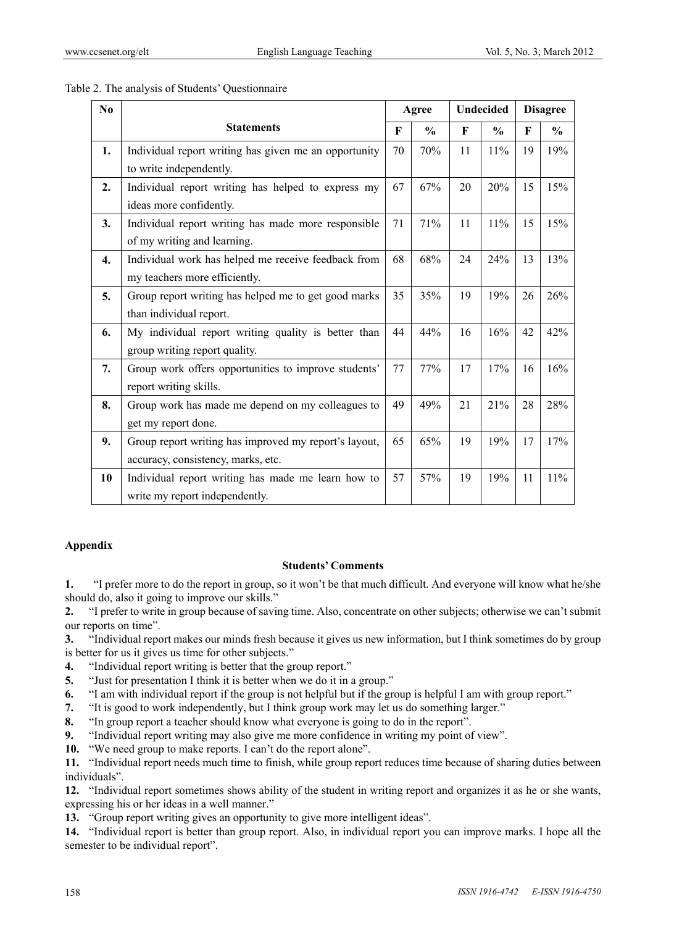| N <sub>0</sub> |                                                       | Agree |               | <b>Undecided</b> |               | <b>Disagree</b> |               |
|----------------|-------------------------------------------------------|-------|---------------|------------------|---------------|-----------------|---------------|
|                | <b>Statements</b>                                     | F     | $\frac{0}{0}$ | F                | $\frac{0}{0}$ | F               | $\frac{0}{0}$ |
| 1.             | Individual report writing has given me an opportunity | 70    | 70%           | 11               | 11%           | 19              | 19%           |
|                | to write independently.                               |       |               |                  |               |                 |               |
| 2.             | Individual report writing has helped to express my    | 67    | 67%           | 20               | 20%           | 15              | 15%           |
|                | ideas more confidently.                               |       |               |                  |               |                 |               |
| 3.             | Individual report writing has made more responsible   | 71    | 71%           | 11               | 11%           | 15              | 15%           |
|                | of my writing and learning.                           |       |               |                  |               |                 |               |
| 4.             | Individual work has helped me receive feedback from   | 68    | 68%           | 24               | 24%           | 13              | 13%           |
|                | my teachers more efficiently.                         |       |               |                  |               |                 |               |
| 5.             | Group report writing has helped me to get good marks  | 35    | 35%           | 19               | 19%           | 26              | 26%           |
|                | than individual report.                               |       |               |                  |               |                 |               |
| 6.             | My individual report writing quality is better than   | 44    | 44%           | 16               | 16%           | 42              | 42%           |
|                | group writing report quality.                         |       |               |                  |               |                 |               |
| 7.             | Group work offers opportunities to improve students'  | 77    | 77%           | 17               | 17%           | 16              | 16%           |
|                | report writing skills.                                |       |               |                  |               |                 |               |
| 8.             | Group work has made me depend on my colleagues to     | 49    | 49%           | 21               | 21%           | 28              | 28%           |
|                | get my report done.                                   |       |               |                  |               |                 |               |
| 9.             | Group report writing has improved my report's layout, | 65    | 65%           | 19               | 19%           | 17              | 17%           |
|                | accuracy, consistency, marks, etc.                    |       |               |                  |               |                 |               |
| 10             | Individual report writing has made me learn how to    | 57    | 57%           | 19               | 19%           | 11              | 11%           |
|                | write my report independently.                        |       |               |                  |               |                 |               |

# **Appendix**

# **Students' Comments**

**1.** "I prefer more to do the report in group, so it won't be that much difficult. And everyone will know what he/she should do, also it going to improve our skills."

**2.** "I prefer to write in group because of saving time. Also, concentrate on other subjects; otherwise we can't submit our reports on time".

**3.** "Individual report makes our minds fresh because it gives us new information, but I think sometimes do by group is better for us it gives us time for other subjects."

- **4.** "Individual report writing is better that the group report."
- **5.** "Just for presentation I think it is better when we do it in a group."
- **6.** "I am with individual report if the group is not helpful but if the group is helpful I am with group report."
- **7.** "It is good to work independently, but I think group work may let us do something larger."
- **8.** "In group report a teacher should know what everyone is going to do in the report".
- **9.** "Individual report writing may also give me more confidence in writing my point of view".
- **10.** "We need group to make reports. I can't do the report alone".

**11.** "Individual report needs much time to finish, while group report reduces time because of sharing duties between individuals".

**12.** "Individual report sometimes shows ability of the student in writing report and organizes it as he or she wants, expressing his or her ideas in a well manner."

**13.** "Group report writing gives an opportunity to give more intelligent ideas".

**14.** "Individual report is better than group report. Also, in individual report you can improve marks. I hope all the semester to be individual report".